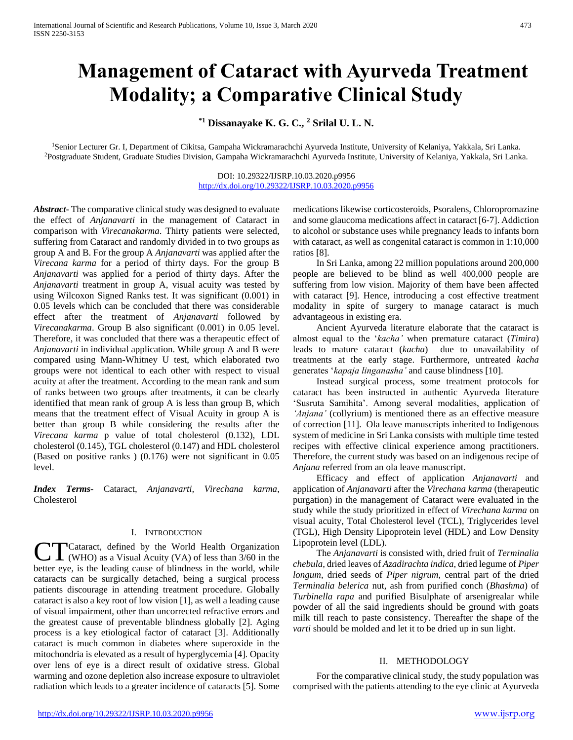# **Management of Cataract with Ayurveda Treatment Modality; a Comparative Clinical Study**

**\*1 Dissanayake K. G. C., <sup>2</sup> Srilal U. L. N.**

<sup>1</sup>Senior Lecturer Gr. I, Department of Cikitsa, Gampaha Wickramarachchi Ayurveda Institute, University of Kelaniya, Yakkala, Sri Lanka. <sup>2</sup>Postgraduate Student, Graduate Studies Division, Gampaha Wickramarachchi Ayurveda Institute, University of Kelaniya, Yakkala, Sri Lanka.

> DOI: 10.29322/IJSRP.10.03.2020.p9956 <http://dx.doi.org/10.29322/IJSRP.10.03.2020.p9956>

*Abstract***-** The comparative clinical study was designed to evaluate the effect of *Anjanavarti* in the management of Cataract in comparison with *Virecanakarma*. Thirty patients were selected, suffering from Cataract and randomly divided in to two groups as group A and B. For the group A *Anjanavarti* was applied after the *Virecana karma* for a period of thirty days. For the group B *Anjanavarti* was applied for a period of thirty days. After the *Anjanavarti* treatment in group A, visual acuity was tested by using Wilcoxon Signed Ranks test. It was significant (0.001) in 0.05 levels which can be concluded that there was considerable effect after the treatment of *Anjanavarti* followed by *Virecanakarma*. Group B also significant (0.001) in 0.05 level. Therefore, it was concluded that there was a therapeutic effect of *Anjanavarti* in individual application. While group A and B were compared using Mann-Whitney U test, which elaborated two groups were not identical to each other with respect to visual acuity at after the treatment. According to the mean rank and sum of ranks between two groups after treatments, it can be clearly identified that mean rank of group A is less than group B, which means that the treatment effect of Visual Acuity in group A is better than group B while considering the results after the *Virecana karma* p value of total cholesterol (0.132), LDL cholesterol (0.145), TGL cholesterol (0.147) and HDL cholesterol (Based on positive ranks ) (0.176) were not significant in 0.05 level.

*Index Terms*- Cataract, *Anjanavarti, Virechana karma*, Cholesterol

#### I. INTRODUCTION

Cataract, defined by the World Health Organization (WHO) as a Visual Acuity (VA) of less than 3/60 in the better eye, is the leading cause of blindness in the world, while cataracts can be surgically detached, being a surgical process patients discourage in attending treatment procedure. Globally cataract is also a key root of low vision [1], as well a leading cause of visual impairment, other than uncorrected refractive errors and the greatest cause of preventable blindness globally [2]. Aging process is a key etiological factor of cataract [3]. Additionally cataract is much common in diabetes where superoxide in the mitochondria is elevated as a result of hyperglycemia [4]. Opacity over lens of eye is a direct result of oxidative stress. Global warming and ozone depletion also increase exposure to ultraviolet radiation which leads to a greater incidence of cataracts [5]. Some **CT** 

medications likewise corticosteroids, Psoralens, Chloropromazine and some glaucoma medications affect in cataract [6-7]. Addiction to alcohol or substance uses while pregnancy leads to infants born with cataract, as well as congenital cataract is common in 1:10,000 ratios [8].

 In Sri Lanka, among 22 million populations around 200,000 people are believed to be blind as well 400,000 people are suffering from low vision. Majority of them have been affected with cataract [9]. Hence, introducing a cost effective treatment modality in spite of surgery to manage cataract is much advantageous in existing era.

 Ancient Ayurveda literature elaborate that the cataract is almost equal to the '*kacha'* when premature cataract (*Timira*) leads to mature cataract (*kacha*) due to unavailability of treatments at the early stage. Furthermore, untreated *kacha* generates '*kapaja linganasha'* and cause blindness [10].

 Instead surgical process, some treatment protocols for cataract has been instructed in authentic Ayurveda literature 'Susruta Samihita'. Among several modalities, application of *'Anjana'* (collyrium) is mentioned there as an effective measure of correction [11]. Ola leave manuscripts inherited to Indigenous system of medicine in Sri Lanka consists with multiple time tested recipes with effective clinical experience among practitioners. Therefore, the current study was based on an indigenous recipe of *Anjana* referred from an ola leave manuscript.

 Efficacy and effect of application *Anjanavarti* and application of *Anjanavarti* after the *Virechana karma* (therapeutic purgation) in the management of Cataract were evaluated in the study while the study prioritized in effect of *Virechana karma* on visual acuity, Total Cholesterol level (TCL), Triglycerides level (TGL), High Density Lipoprotein level (HDL) and Low Density Lipoprotein level (LDL).

 The *Anjanavarti* is consisted with, dried fruit of *Terminalia chebula*, dried leaves of *Azadirachta indica*, dried legume of *Piper longum*, dried seeds of *Piper nigrum*, central part of the dried *Terminalia belerica* nut, ash from purified conch (*Bhashma*) of *Turbinella rapa* and purified Bisulphate of arsenigrealar while powder of all the said ingredients should be ground with goats milk till reach to paste consistency. Thereafter the shape of the *varti* should be molded and let it to be dried up in sun light.

## II. METHODOLOGY

 For the comparative clinical study, the study population was comprised with the patients attending to the eye clinic at Ayurveda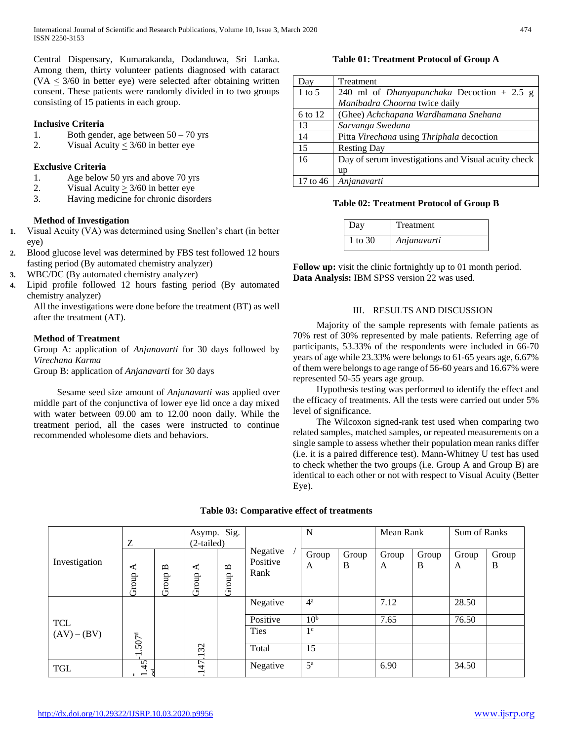Central Dispensary, Kumarakanda, Dodanduwa, Sri Lanka. Among them, thirty volunteer patients diagnosed with cataract  $(VA < 3/60$  in better eye) were selected after obtaining written consent. These patients were randomly divided in to two groups consisting of 15 patients in each group.

# **Inclusive Criteria**

- 1. Both gender, age between 50 70 yrs
- 2. Visual Acuity < 3/60 in better eye

# **Exclusive Criteria**

- 1. Age below 50 yrs and above 70 yrs
- 2. Visual Acuity  $\geq 3/60$  in better eye
- 3. Having medicine for chronic disorders

# **Method of Investigation**

- **1.** Visual Acuity (VA) was determined using Snellen's chart (in better eye)
- **2.** Blood glucose level was determined by FBS test followed 12 hours fasting period (By automated chemistry analyzer)
- **3.** WBC/DC (By automated chemistry analyzer)
- **4.** Lipid profile followed 12 hours fasting period (By automated chemistry analyzer)

All the investigations were done before the treatment (BT) as well after the treatment (AT).

# **Method of Treatment**

Group A: application of *Anjanavarti* for 30 days followed by *Virechana Karma*

Group B: application of *Anjanavarti* for 30 days

 Sesame seed size amount of *Anjanavarti* was applied over middle part of the conjunctiva of lower eye lid once a day mixed with water between 09.00 am to 12.00 noon daily. While the treatment period, all the cases were instructed to continue recommended wholesome diets and behaviors.

# **Table 01: Treatment Protocol of Group A**

| Day        | Treatment                                           |
|------------|-----------------------------------------------------|
| $1$ to $5$ | 240 ml of <i>Dhanyapanchaka</i> Decoction $+ 2.5$ g |
|            | Manibadra Choorna twice daily                       |
| 6 to 12    | (Ghee) Achchapana Wardhamana Snehana                |
| 13         | Sarvanga Swedana                                    |
| 14         | Pitta Virechana using Thriphala decoction           |
| 15         | <b>Resting Day</b>                                  |
| 16         | Day of serum investigations and Visual acuity check |
|            | up                                                  |
| 17 to 46   | Anjanavarti                                         |

## **Table 02: Treatment Protocol of Group B**

| Day     | Treatment   |
|---------|-------------|
| 1 to 30 | Anjanavarti |

**Follow up:** visit the clinic fortnightly up to 01 month period. **Data Analysis:** IBM SPSS version 22 was used.

# III. RESULTS AND DISCUSSION

 Majority of the sample represents with female patients as 70% rest of 30% represented by male patients. Referring age of participants, 53.33% of the respondents were included in 66-70 years of age while 23.33% were belongs to 61-65 years age, 6.67% of them were belongs to age range of 56-60 years and 16.67% were represented 50-55 years age group.

 Hypothesis testing was performed to identify the effect and the efficacy of treatments. All the tests were carried out under 5% level of significance.

 The Wilcoxon signed-rank test used when comparing two related samples, matched samples, or repeated measurements on a single sample to assess whether their population mean ranks differ (i.e. it is a paired difference test). Mann-Whitney U test has used to check whether the two groups (i.e. Group A and Group B) are identical to each other or not with respect to Visual Acuity (Better Eye).

|               | Ζ                              |                       | Asymp. Sig.<br>$(2-tailed)$    |                       |                              | N               |            | Mean Rank  |            | Sum of Ranks |            |
|---------------|--------------------------------|-----------------------|--------------------------------|-----------------------|------------------------------|-----------------|------------|------------|------------|--------------|------------|
| Investigation | $\blacktriangleleft$<br>Group  | $\mathbf{a}$<br>Group | ⋖<br>Group                     | $\mathbf{u}$<br>Group | Negative<br>Positive<br>Rank | Group<br>A      | Group<br>B | Group<br>A | Group<br>B | Group<br>A   | Group<br>B |
|               |                                |                       |                                |                       | Negative                     | $4^{\rm a}$     |            | 7.12       |            | 28.50        |            |
| <b>TCL</b>    |                                |                       |                                |                       | Positive                     | 10 <sup>b</sup> |            | 7.65       |            | 76.50        |            |
| $(AV) - (BV)$ | 507 <sup>d</sup>               |                       |                                |                       | <b>Ties</b>                  | 1 <sup>c</sup>  |            |            |            |              |            |
|               | $\overline{\phantom{0}}$       |                       | 32<br>$\overline{\phantom{0}}$ |                       | Total                        | 15              |            |            |            |              |            |
| <b>TGL</b>    | 45<br>$\overline{\phantom{0}}$ |                       | .147                           |                       | Negative                     | $5^{\rm a}$     |            | 6.90       |            | 34.50        |            |

# **Table 03: Comparative effect of treatments**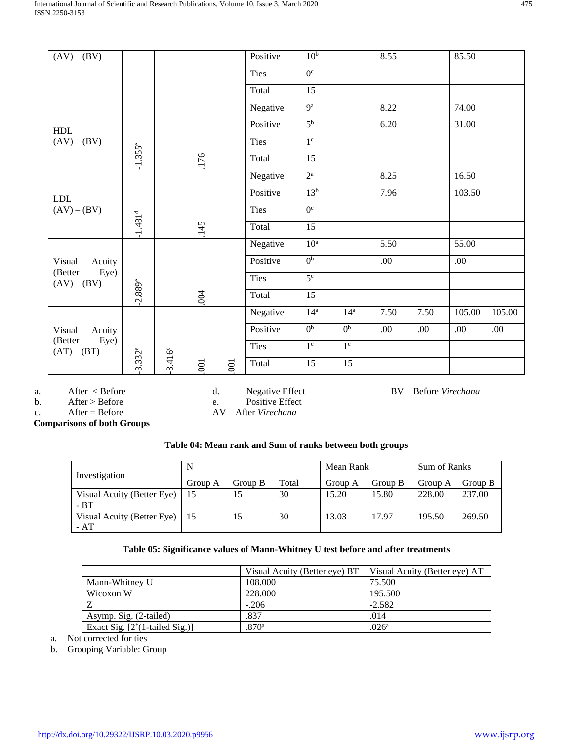| $(AV) - (BV)$                                        |                       |                 |                |                | Positive    | 10 <sup>b</sup>  |                 | 8.55 |      | 85.50  |        |
|------------------------------------------------------|-----------------------|-----------------|----------------|----------------|-------------|------------------|-----------------|------|------|--------|--------|
|                                                      |                       |                 |                |                | Ties        | $\overline{0^c}$ |                 |      |      |        |        |
|                                                      |                       |                 |                |                | Total       | $\overline{15}$  |                 |      |      |        |        |
|                                                      |                       |                 |                |                | Negative    | $\overline{9^a}$ |                 | 8.22 |      | 74.00  |        |
| HDL                                                  |                       |                 |                |                | Positive    | 5 <sup>b</sup>   |                 | 6.20 |      | 31.00  |        |
| $(AV) - (BV)$                                        |                       |                 |                |                | Ties        | 1 <sup>c</sup>   |                 |      |      |        |        |
|                                                      | $-1.355$ <sup>e</sup> |                 | 176            |                | Total       | 15               |                 |      |      |        |        |
|                                                      |                       |                 |                |                | Negative    | $2^{\rm a}$      |                 | 8.25 |      | 16.50  |        |
| <b>LDL</b>                                           |                       |                 |                |                | Positive    | 13 <sup>b</sup>  |                 | 7.96 |      | 103.50 |        |
| $(AV) - (BV)$                                        |                       |                 |                |                | <b>Ties</b> | $\overline{0^c}$ |                 |      |      |        |        |
|                                                      | $-1.481d$             |                 | .145           |                | Total       | 15               |                 |      |      |        |        |
|                                                      |                       |                 |                |                | Negative    | 10 <sup>a</sup>  |                 | 5.50 |      | 55.00  |        |
| Acuity<br>Visual                                     |                       |                 |                |                | Positive    | 0 <sub>p</sub>   |                 | .00  |      | .00    |        |
| (Better<br>Eye)<br>$(AV) - (BV)$                     |                       |                 |                |                | Ties        | 5 <sup>c</sup>   |                 |      |      |        |        |
|                                                      | $-2.889e$             |                 | .004           |                | Total       | 15               |                 |      |      |        |        |
|                                                      |                       |                 |                |                | Negative    | 14 <sup>a</sup>  | 14 <sup>a</sup> | 7.50 | 7.50 | 105.00 | 105.00 |
| Visual<br>Acuity<br>Eye)<br>(Better<br>$(AT) - (BT)$ |                       |                 |                |                | Positive    | 0 <sup>b</sup>   | 0 <sup>b</sup>  | .00  | .00  | .00    | .00    |
|                                                      |                       |                 |                |                | Ties        | 1 <sup>c</sup>   | 1 <sup>c</sup>  |      |      |        |        |
|                                                      | $-3.332^e$            | $3.416^{\circ}$ | $\overline{6}$ | $\overline{5}$ | Total       | 15               | 15              |      |      |        |        |

a. After < Before

d. Negative Effect

BV – Before *Virechana*

b. After > Before c.  $After = Before$ 

e. Positive Effect AV – After *Virechana*

**Comparisons of both Groups**

| Table 04: Mean rank and Sum of ranks between both groups |  |
|----------------------------------------------------------|--|
|----------------------------------------------------------|--|

| Investigation                        | N       |         |       | Mean Rank |         | Sum of Ranks |         |
|--------------------------------------|---------|---------|-------|-----------|---------|--------------|---------|
|                                      | Group A | Group B | Total | Group A   | Group B | Group A      | Group B |
| Visual Acuity (Better Eye)<br>$- BT$ | l 15    | 15      | 30    | 15.20     | 15.80   | 228.00       | 237.00  |
| Visual Acuity (Better Eye)   15      |         | 15      | 30    | 13.03     | 17.97   | 195.50       | 269.50  |
| - AT                                 |         |         |       |           |         |              |         |

# **Table 05: Significance values of Mann-Whitney U test before and after treatments**

|                                          | Visual Acuity (Better eye) BT | Visual Acuity (Better eye) AT |
|------------------------------------------|-------------------------------|-------------------------------|
| Mann-Whitney U                           | 108.000                       | 75.500                        |
| Wicoxon W                                | 228,000                       | 195.500                       |
|                                          | $-.206$                       | $-2.582$                      |
| Asymp. Sig. (2-tailed)                   | .837                          | .014                          |
| Exact Sig. $[2^*(1\text{-tailed Sig.})]$ | .870 <sup>a</sup>             | .026 <sup>a</sup>             |

a. Not corrected for ties

b. Grouping Variable: Group